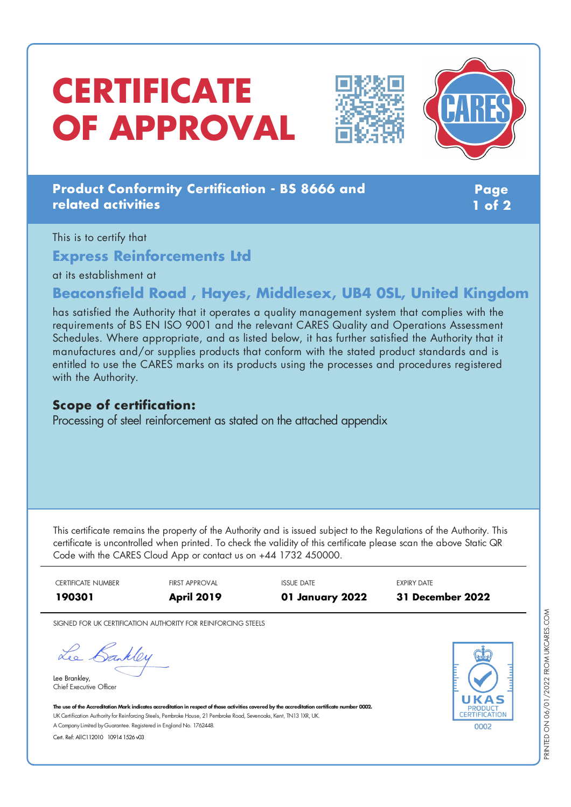# **CERTIFICATE OF APPROVAL**





## **Product Conformity Certification - BS 8666 and related activities**

**Page 1 of 2**

This is to certify that

**Express Reinforcements Ltd**

at its establishment at

## **Beaconsfield Road , Hayes, Middlesex, UB4 0SL, United Kingdom**

has satisfied the Authority that it operates a quality management system that complies with the requirements of BS EN ISO 9001 and the relevant CARES Quality and Operations Assessment Schedules. Where appropriate, and as listed below, it has further satisfied the Authority that it manufactures and/or supplies products that conform with the stated product standards and is entitled to use the CARES marks on its products using the processes and procedures registered with the Authority.

### **Scope of certification:**

Processing of steel reinforcement as stated on the attached appendix

This certificate remains the property of the Authority and is issued subject to the Regulations of the Authority. This certificate is uncontrolled when printed. To check the validity of this certificate please scan the above Static QR Code with the CARES Cloud App or contact us on +44 1732 450000.

CERTIFICATE NUMBER FIRST APPROVAL ISSUE DATE EXPIRY DATE **190301 April 2019 01 January 2022 31 December 2022**

SIGNED FOR UK CERTIFICATION AUTHORITY FOR REINFORCING STEELS

Lee Bankley

Lee Brankley, Chief Executive Officer 0002

The use of the Accreditation Mark indicates accreditation in respect of those activities covered by the accreditation certificate number 0002. UK Certification Authority for Reinforcing Steels, Pembroke House, 21 Pembroke Road, Sevenoaks, Kent, TN13 1XR, UK. A CompanyLimited byGuarantee. Registered in England No. 1762448.

Cert. Ref: AllC112010 10914 1526 v03